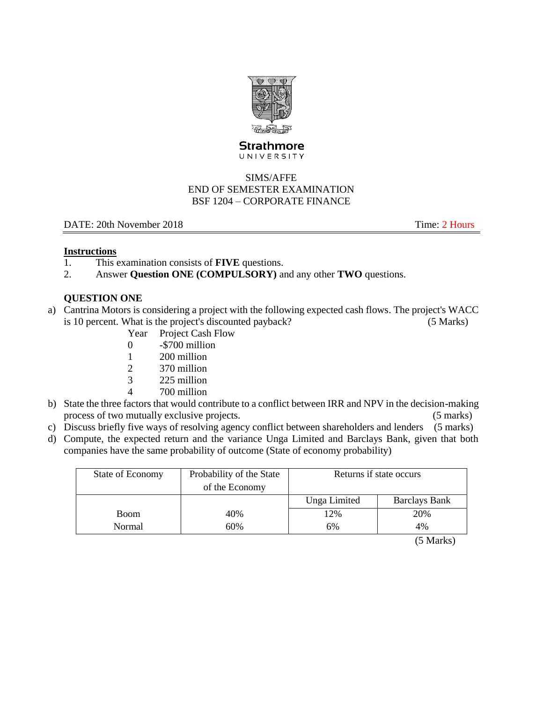

#### **Strathmore** UNIVERSITY

### SIMS/AFFE END OF SEMESTER EXAMINATION BSF 1204 – CORPORATE FINANCE

### DATE: 20th November 2018 Time: 2 Hours

### **Instructions**

- 1. This examination consists of **FIVE** questions.
- 2. Answer **Question ONE (COMPULSORY)** and any other **TWO** questions.

# **QUESTION ONE**

- a) Cantrina Motors is considering a project with the following expected cash flows. The project's WACC is 10 percent. What is the project's discounted payback? (5 Marks)
	- Year Project Cash Flow
	- 0 -\$700 million
	- 1 200 million
	- 2 370 million
	- 3 225 million
	- 4 700 million
- b) State the three factors that would contribute to a conflict between IRR and NPV in the decision-making process of two mutually exclusive projects. (5 marks)
- c) Discuss briefly five ways of resolving agency conflict between shareholders and lenders (5 marks)
- d) Compute, the expected return and the variance Unga Limited and Barclays Bank, given that both companies have the same probability of outcome (State of economy probability)

| State of Economy | Probability of the State | Returns if state occurs |                      |
|------------------|--------------------------|-------------------------|----------------------|
|                  | of the Economy           |                         |                      |
|                  |                          | Unga Limited            | <b>Barclays Bank</b> |
| <b>Boom</b>      | 40%                      | 12%                     | 20%                  |
| 60%<br>Normal    |                          | 6%                      | 4%                   |

(5 Marks)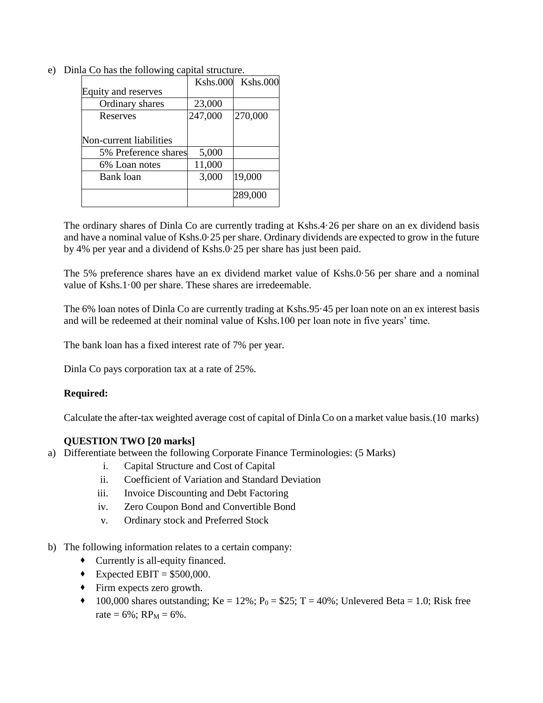| <b>Kshs.000</b> | <b>Kshs.000</b>      |
|-----------------|----------------------|
|                 |                      |
| 23,000          |                      |
| 247,000         | 270,000              |
|                 |                      |
|                 |                      |
| 5,000           |                      |
| 11,000          |                      |
| 3,000           | 19,000               |
|                 | 289,000              |
|                 | 5% Preference shares |

e) Dinla Co has the following capital structure.

The ordinary shares of Dinla Co are currently trading at Kshs.4·26 per share on an ex dividend basis and have a nominal value of Kshs.0·25 per share. Ordinary dividends are expected to grow in the future by 4% per year and a dividend of Kshs.0·25 per share has just been paid.

The 5% preference shares have an ex dividend market value of Kshs.0·56 per share and a nominal value of Kshs.1·00 per share. These shares are irredeemable.

The 6% loan notes of Dinla Co are currently trading at Kshs.95·45 per loan note on an ex interest basis and will be redeemed at their nominal value of Kshs.100 per loan note in five years' time.

The bank loan has a fixed interest rate of 7% per year.

Dinla Co pays corporation tax at a rate of 25%.

### **Required:**

Calculate the after-tax weighted average cost of capital of Dinla Co on a market value basis.(10 marks)

### **QUESTION TWO [20 marks]**

- a) Differentiate between the following Corporate Finance Terminologies: (5 Marks)
	- i. Capital Structure and Cost of Capital
	- ii. Coefficient of Variation and Standard Deviation
	- iii. Invoice Discounting and Debt Factoring
	- iv. Zero Coupon Bond and Convertible Bond
	- v. Ordinary stock and Preferred Stock
- b) The following information relates to a certain company:
	- Currently is all-equity financed.
	- Expected EBIT =  $$500,000$ .
	- Firm expects zero growth.
	- $100,000$  shares outstanding; Ke = 12%; P<sub>0</sub> = \$25; T = 40%; Unlevered Beta = 1.0; Risk free rate =  $6\%$ ; RP<sub>M</sub> =  $6\%$ .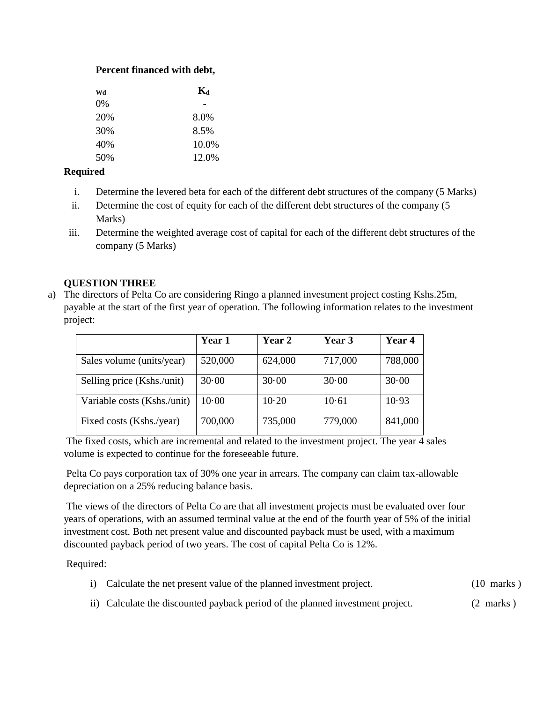### **Percent financed with debt,**

| Wd    | $\mathbf{K}_{\mathbf{d}}$ |  |
|-------|---------------------------|--|
| $0\%$ |                           |  |
| 20%   | 8.0%                      |  |
| 30%   | 8.5%                      |  |
| 40%   | 10.0%                     |  |
| 50%   | 12.0%                     |  |

### **Required**

- i. Determine the levered beta for each of the different debt structures of the company (5 Marks)
- ii. Determine the cost of equity for each of the different debt structures of the company (5 Marks)
- iii. Determine the weighted average cost of capital for each of the different debt structures of the company (5 Marks)

## **QUESTION THREE**

a) The directors of Pelta Co are considering Ringo a planned investment project costing Kshs.25m, payable at the start of the first year of operation. The following information relates to the investment project:

|                             | Year 1  | Year 2  | Year 3  | Year 4  |
|-----------------------------|---------|---------|---------|---------|
| Sales volume (units/year)   | 520,000 | 624,000 | 717,000 | 788,000 |
| Selling price (Kshs./unit)  | 30.00   | 30.00   | 30.00   | 30.00   |
| Variable costs (Kshs./unit) | 10.00   | 10.20   | 10.61   | 10.93   |
| Fixed costs (Kshs./year)    | 700,000 | 735,000 | 779,000 | 841,000 |

The fixed costs, which are incremental and related to the investment project. The year 4 sales volume is expected to continue for the foreseeable future.

Pelta Co pays corporation tax of 30% one year in arrears. The company can claim tax-allowable depreciation on a 25% reducing balance basis.

The views of the directors of Pelta Co are that all investment projects must be evaluated over four years of operations, with an assumed terminal value at the end of the fourth year of 5% of the initial investment cost. Both net present value and discounted payback must be used, with a maximum discounted payback period of two years. The cost of capital Pelta Co is 12%.

Required:

|  | i) Calculate the net present value of the planned investment project. | $(10 \text{ marks})$ |
|--|-----------------------------------------------------------------------|----------------------|
|--|-----------------------------------------------------------------------|----------------------|

ii) Calculate the discounted payback period of the planned investment project. (2 marks )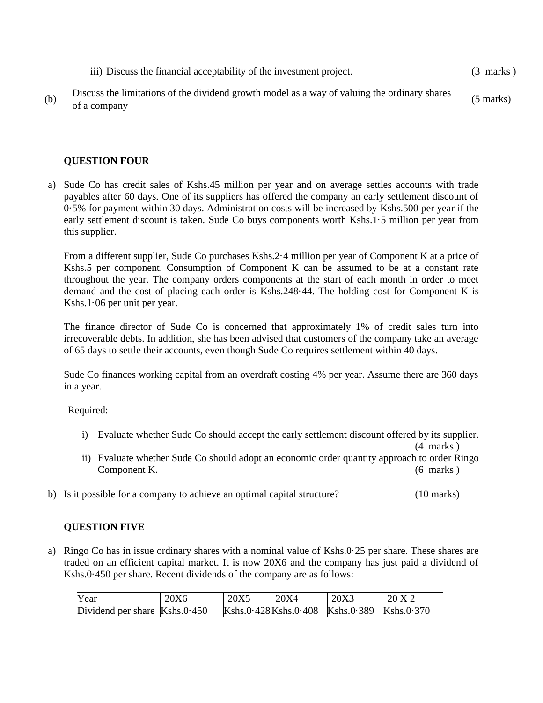|     | iii) Discuss the financial acceptability of the investment project.                                          | $(3 \text{ marks})$ |
|-----|--------------------------------------------------------------------------------------------------------------|---------------------|
| (b) | Discuss the limitations of the dividend growth model as a way of valuing the ordinary shares<br>of a company | $(5 \text{ marks})$ |

#### **QUESTION FOUR**

a) Sude Co has credit sales of Kshs.45 million per year and on average settles accounts with trade payables after 60 days. One of its suppliers has offered the company an early settlement discount of 0·5% for payment within 30 days. Administration costs will be increased by Kshs.500 per year if the early settlement discount is taken. Sude Co buys components worth Kshs.1·5 million per year from this supplier.

From a different supplier, Sude Co purchases Kshs.2·4 million per year of Component K at a price of Kshs.5 per component. Consumption of Component K can be assumed to be at a constant rate throughout the year. The company orders components at the start of each month in order to meet demand and the cost of placing each order is Kshs.248·44. The holding cost for Component K is Kshs.1·06 per unit per year.

The finance director of Sude Co is concerned that approximately 1% of credit sales turn into irrecoverable debts. In addition, she has been advised that customers of the company take an average of 65 days to settle their accounts, even though Sude Co requires settlement within 40 days.

Sude Co finances working capital from an overdraft costing 4% per year. Assume there are 360 days in a year.

Required:

i) Evaluate whether Sude Co should accept the early settlement discount offered by its supplier.

(4 marks ) ii) Evaluate whether Sude Co should adopt an economic order quantity approach to order Ringo Component K. (6 marks )

b) Is it possible for a company to achieve an optimal capital structure? (10 marks)

#### **QUESTION FIVE**

a) Ringo Co has in issue ordinary shares with a nominal value of Kshs.0·25 per share. These shares are traded on an efficient capital market. It is now 20X6 and the company has just paid a dividend of Kshs.0·450 per share. Recent dividends of the company are as follows:

| Year                            | 20X6 | 20X5 | $-20X4$ | 20X3                                       | 20 X 2 |
|---------------------------------|------|------|---------|--------------------------------------------|--------|
| Dividend per share $Kshs.0.450$ |      |      |         | Kshs.0.428Kshs.0.408 Kshs.0.389 Kshs.0.370 |        |